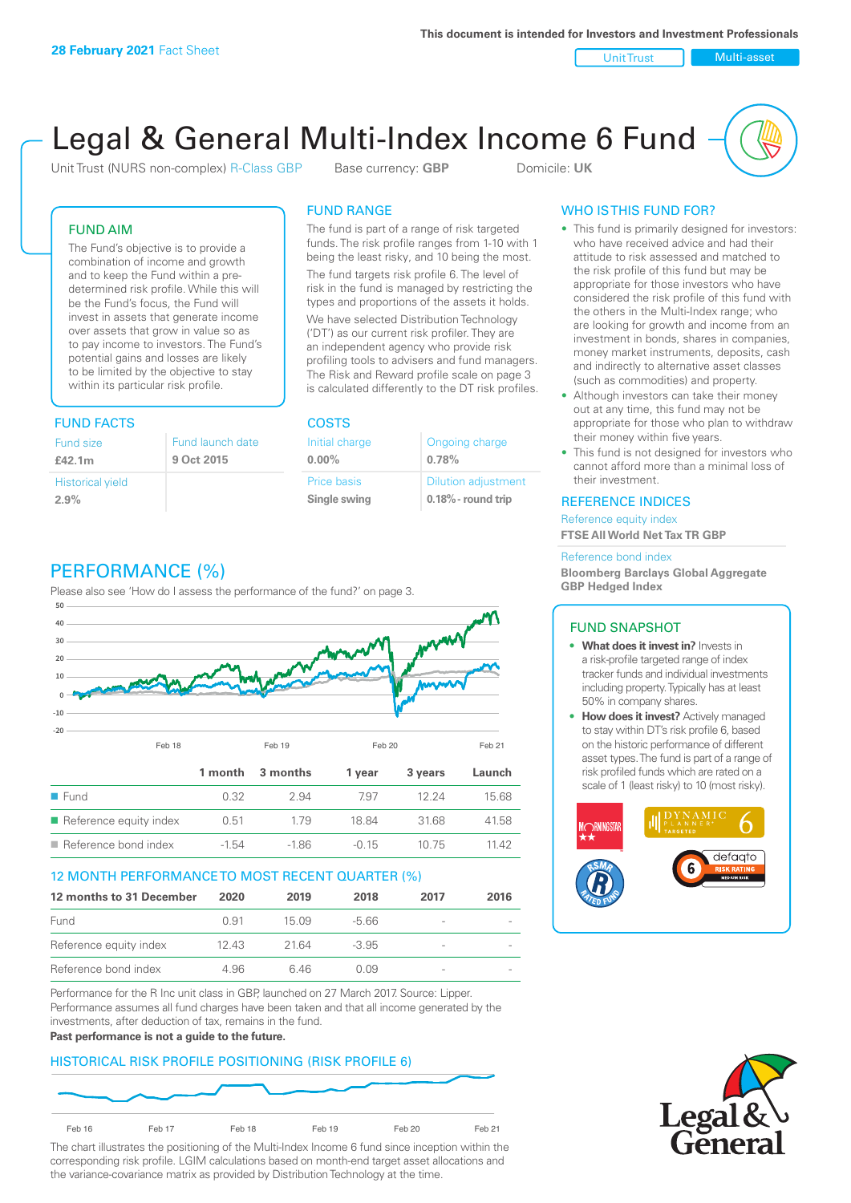Unit Trust Nulti-asset

# Legal & General Multi-Index Income 6 Fund

Unit Trust (NURS non-complex) R-Class GBP Base currency: **GBP** Domicile: UK

# FUND AIM

The Fund's objective is to provide a combination of income and growth and to keep the Fund within a predetermined risk profile. While this will be the Fund's focus, the Fund will invest in assets that generate income over assets that grow in value so as to pay income to investors. The Fund's potential gains and losses are likely to be limited by the objective to stay within its particular risk profile.

# FUND FACTS COSTS

| Fund size<br>£42.1m     | Fund launch date<br>9 Oct 2015 |
|-------------------------|--------------------------------|
| <b>Historical yield</b> |                                |
| 2.9%                    |                                |

# FUND RANGE

The fund is part of a range of risk targeted funds. The risk profile ranges from 1-10 with 1 being the least risky, and 10 being the most.

The fund targets risk profile 6. The level of risk in the fund is managed by restricting the types and proportions of the assets it holds. We have selected Distribution Technology ('DT') as our current risk profiler. They are an independent agency who provide risk profiling tools to advisers and fund managers. The Risk and Reward profile scale on page 3 is calculated differently to the DT risk profiles.

| Initial charge | Ongoing charge             |
|----------------|----------------------------|
| $0.00\%$       | 0.78%                      |
| Price basis    | <b>Dilution adjustment</b> |
| Single swing   | $0.18\%$ - round trip      |

# PERFORMANCE (%)

Please also see 'How do I assess the performance of the fund?' on page 3.



# 12 MONTH PERFORMANCE TO MOST RECENT QUARTER (%)

| 12 months to 31 December | 2020 | 2019   | 2018    | 2017                     | 2016 |
|--------------------------|------|--------|---------|--------------------------|------|
| Fund                     | O 91 | 15 0.9 | -5.66   | $\overline{\phantom{a}}$ |      |
| Reference equity index   | 1243 | 21.64  | $-3.95$ | $\overline{\phantom{a}}$ |      |
| Reference bond index     | 4.96 | 6.46   | N N9    | $\overline{\phantom{a}}$ |      |

Performance for the R Inc unit class in GBP, launched on 27 March 2017. Source: Lipper. Performance assumes all fund charges have been taken and that all income generated by the investments, after deduction of tax, remains in the fund.

### **Past performance is not a guide to the future.**

# HISTORICAL RISK PROFILE POSITIONING (RISK PROFILE 6)



The chart illustrates the positioning of the Multi-Index Income 6 fund since inception within the corresponding risk profile. LGIM calculations based on month-end target asset allocations and the variance-covariance matrix as provided by Distribution Technology at the time.

# WHO IS THIS FUND FOR?

- This fund is primarily designed for investors: who have received advice and had their attitude to risk assessed and matched to the risk profile of this fund but may be appropriate for those investors who have considered the risk profile of this fund with the others in the Multi-Index range; who are looking for growth and income from an investment in bonds, shares in companies, money market instruments, deposits, cash and indirectly to alternative asset classes (such as commodities) and property.
- Although investors can take their money out at any time, this fund may not be appropriate for those who plan to withdraw their money within five years.
- This fund is not designed for investors who cannot afford more than a minimal loss of their investment.

# REFERENCE INDICES

Reference equity index **FTSE All World Net Tax TR GBP**

#### Reference bond index

**Bloomberg Barclays Global Aggregate GBP Hedged Index**

# FUND SNAPSHOT

- **• What does it invest in?** Invests in a risk-profile targeted range of index tracker funds and individual investments including property. Typically has at least 50% in company shares.
- **• How does it invest?** Actively managed to stay within DT's risk profile 6, based on the historic performance of different asset types. The fund is part of a range of risk profiled funds which are rated on a scale of 1 (least risky) to 10 (most risky).



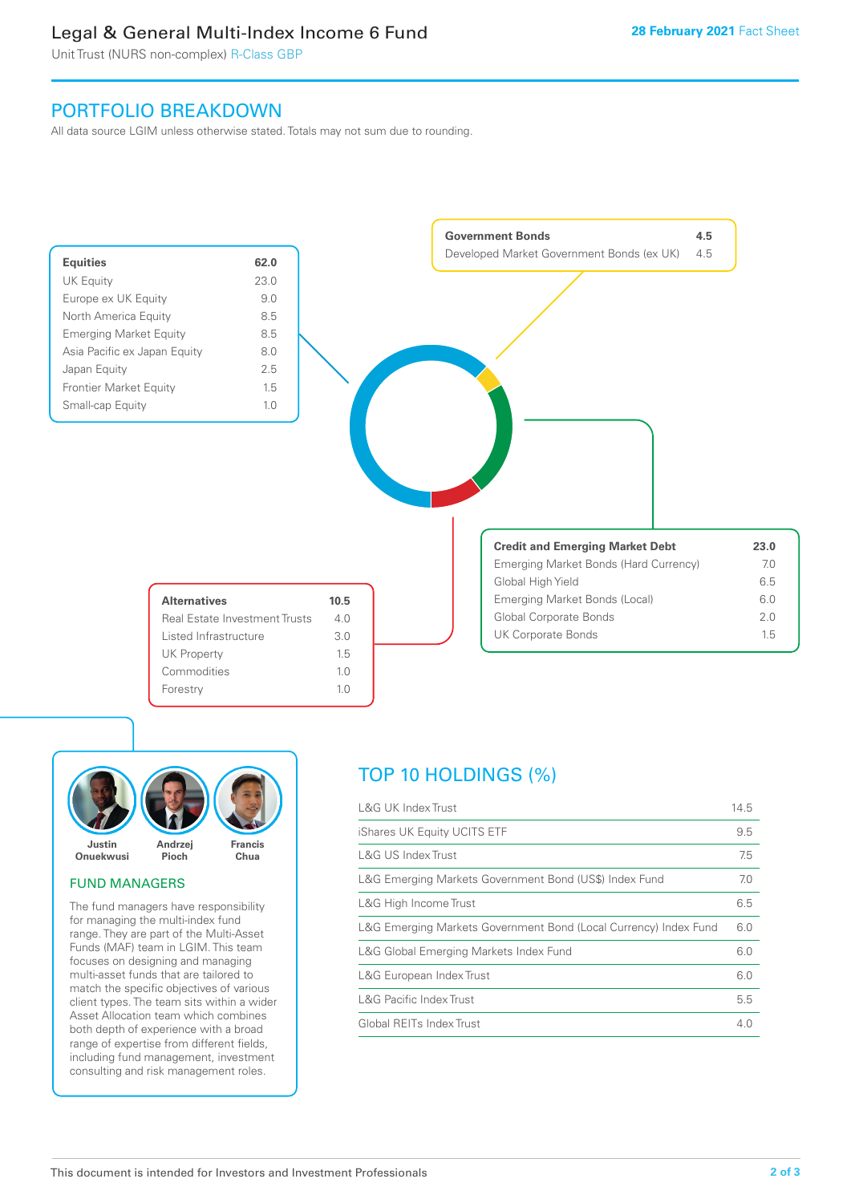# Legal & General Multi-Index Income 6 Fund

Unit Trust (NURS non-complex) R-Class GBP

# PORTFOLIO BREAKDOWN

All data source LGIM unless otherwise stated. Totals may not sum due to rounding.





# FUND MANAGERS

The fund managers have responsibility for managing the multi-index fund range. They are part of the Multi-Asset Funds (MAF) team in LGIM. This team focuses on designing and managing multi-asset funds that are tailored to match the specific objectives of various client types. The team sits within a wider Asset Allocation team which combines both depth of experience with a broad range of expertise from different fields, including fund management, investment consulting and risk management roles.

# TOP 10 HOLDINGS (%)

| <b>L&amp;G UK Index Trust</b>                                    | 14.5 |
|------------------------------------------------------------------|------|
| iShares UK Equity UCITS ETF                                      | 9.5  |
| L&G US Index Trust                                               | 7.5  |
| L&G Emerging Markets Government Bond (US\$) Index Fund           | 7.0  |
| L&G High Income Trust                                            | 6.5  |
| L&G Emerging Markets Government Bond (Local Currency) Index Fund | 6.0  |
| L&G Global Emerging Markets Index Fund                           | 6.0  |
| L&G European Index Trust                                         | 6.0  |
| <b>L&amp;G Pacific Index Trust</b>                               | 5.5  |
| Global REITs Index Trust                                         | 4.0  |